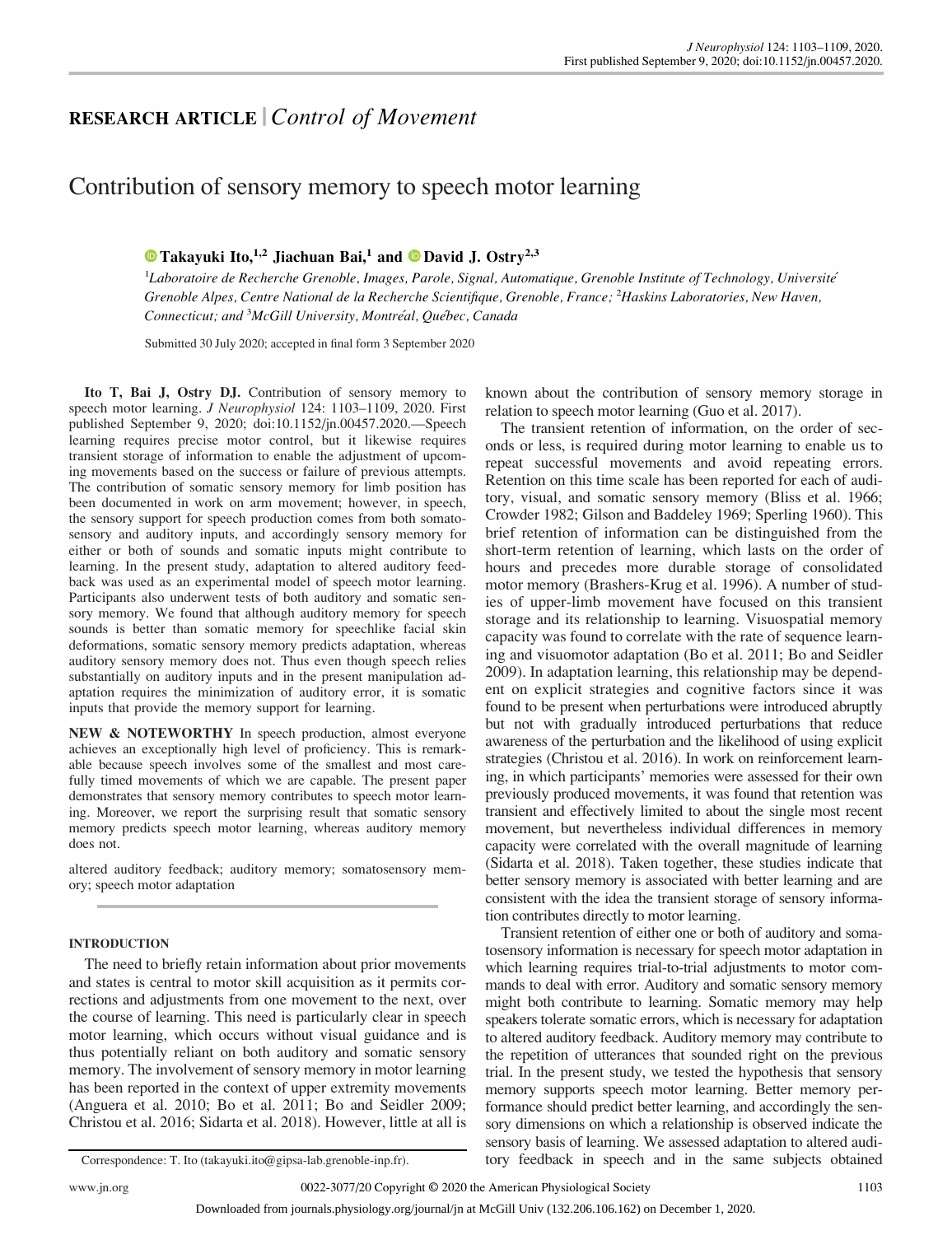# RESEARCH ARTICLE |Control of Movement

# Contribution of sensory memory to speech motor learning

## **[Takayuki Ito,](https://orcid.org/0000-0002-3265-360X)**<sup>1,2</sup> Jiachuan Bai,<sup>1</sup> and **D** [David J. Ostry](https://orcid.org/0000-0001-7427-6526)<sup>2,3</sup>

<sup>1</sup>Laboratoire de Recherche Grenoble, Images, Parole, Signal, Automatique, Grenoble Institute of Technology, Université Grenoble Alpes, Centre National de la Recherche Scientifique, Grenoble, France; <sup>2</sup>Haskins Laboratories, New Haven, Connecticut; and <sup>3</sup>McGill University, Montréal, Québec, Canada

Submitted 30 July 2020; accepted in final form 3 September 2020

Ito T, Bai J, Ostry DJ. Contribution of sensory memory to speech motor learning. J Neurophysiol 124: 1103–1109, 2020. First published September 9, 2020; doi:[10.1152/jn.00457.2020](https://doi.org/10.1152/jn.00457.2020).—Speech learning requires precise motor control, but it likewise requires transient storage of information to enable the adjustment of upcoming movements based on the success or failure of previous attempts. The contribution of somatic sensory memory for limb position has been documented in work on arm movement; however, in speech, the sensory support for speech production comes from both somatosensory and auditory inputs, and accordingly sensory memory for either or both of sounds and somatic inputs might contribute to learning. In the present study, adaptation to altered auditory feedback was used as an experimental model of speech motor learning. Participants also underwent tests of both auditory and somatic sensory memory. We found that although auditory memory for speech sounds is better than somatic memory for speechlike facial skin deformations, somatic sensory memory predicts adaptation, whereas auditory sensory memory does not. Thus even though speech relies substantially on auditory inputs and in the present manipulation adaptation requires the minimization of auditory error, it is somatic inputs that provide the memory support for learning.

NEW & NOTEWORTHY In speech production, almost everyone achieves an exceptionally high level of proficiency. This is remarkable because speech involves some of the smallest and most carefully timed movements of which we are capable. The present paper demonstrates that sensory memory contributes to speech motor learning. Moreover, we report the surprising result that somatic sensory memory predicts speech motor learning, whereas auditory memory does not.

altered auditory feedback; auditory memory; somatosensory memory; speech motor adaptation

#### INTRODUCTION

The need to briefly retain information about prior movements and states is central to motor skill acquisition as it permits corrections and adjustments from one movement to the next, over the course of learning. This need is particularly clear in speech motor learning, which occurs without visual guidance and is thus potentially reliant on both auditory and somatic sensory memory. The involvement of sensory memory in motor learning has been reported in the context of upper extremity movements (Anguera et al. 2010; Bo et al. 2011; Bo and Seidler 2009; Christou et al. 2016; Sidarta et al. 2018). However, little at all is

known about the contribution of sensory memory storage in relation to speech motor learning (Guo et al. 2017).

The transient retention of information, on the order of seconds or less, is required during motor learning to enable us to repeat successful movements and avoid repeating errors. Retention on this time scale has been reported for each of auditory, visual, and somatic sensory memory (Bliss et al. 1966; Crowder 1982; Gilson and Baddeley 1969; Sperling 1960). This brief retention of information can be distinguished from the short-term retention of learning, which lasts on the order of hours and precedes more durable storage of consolidated motor memory (Brashers-Krug et al. 1996). A number of studies of upper-limb movement have focused on this transient storage and its relationship to learning. Visuospatial memory capacity was found to correlate with the rate of sequence learning and visuomotor adaptation (Bo et al. 2011; Bo and Seidler 2009). In adaptation learning, this relationship may be dependent on explicit strategies and cognitive factors since it was found to be present when perturbations were introduced abruptly but not with gradually introduced perturbations that reduce awareness of the perturbation and the likelihood of using explicit strategies (Christou et al. 2016). In work on reinforcement learning, in which participants' memories were assessed for their own previously produced movements, it was found that retention was transient and effectively limited to about the single most recent movement, but nevertheless individual differences in memory capacity were correlated with the overall magnitude of learning (Sidarta et al. 2018). Taken together, these studies indicate that better sensory memory is associated with better learning and are consistent with the idea the transient storage of sensory information contributes directly to motor learning.

Transient retention of either one or both of auditory and somatosensory information is necessary for speech motor adaptation in which learning requires trial-to-trial adjustments to motor commands to deal with error. Auditory and somatic sensory memory might both contribute to learning. Somatic memory may help speakers tolerate somatic errors, which is necessary for adaptation to altered auditory feedback. Auditory memory may contribute to the repetition of utterances that sounded right on the previous trial. In the present study, we tested the hypothesis that sensory memory supports speech motor learning. Better memory performance should predict better learning, and accordingly the sensory dimensions on which a relationship is observed indicate the sensory basis of learning. We assessed adaptation to altered audi-Correspondence: T. Ito ([takayuki.ito@gipsa-lab.grenoble-inp.fr\)](mailto:takayuki.ito@gipsa-lab.grenoble-inp.fr). tory feedback in speech and in the same subjects obtained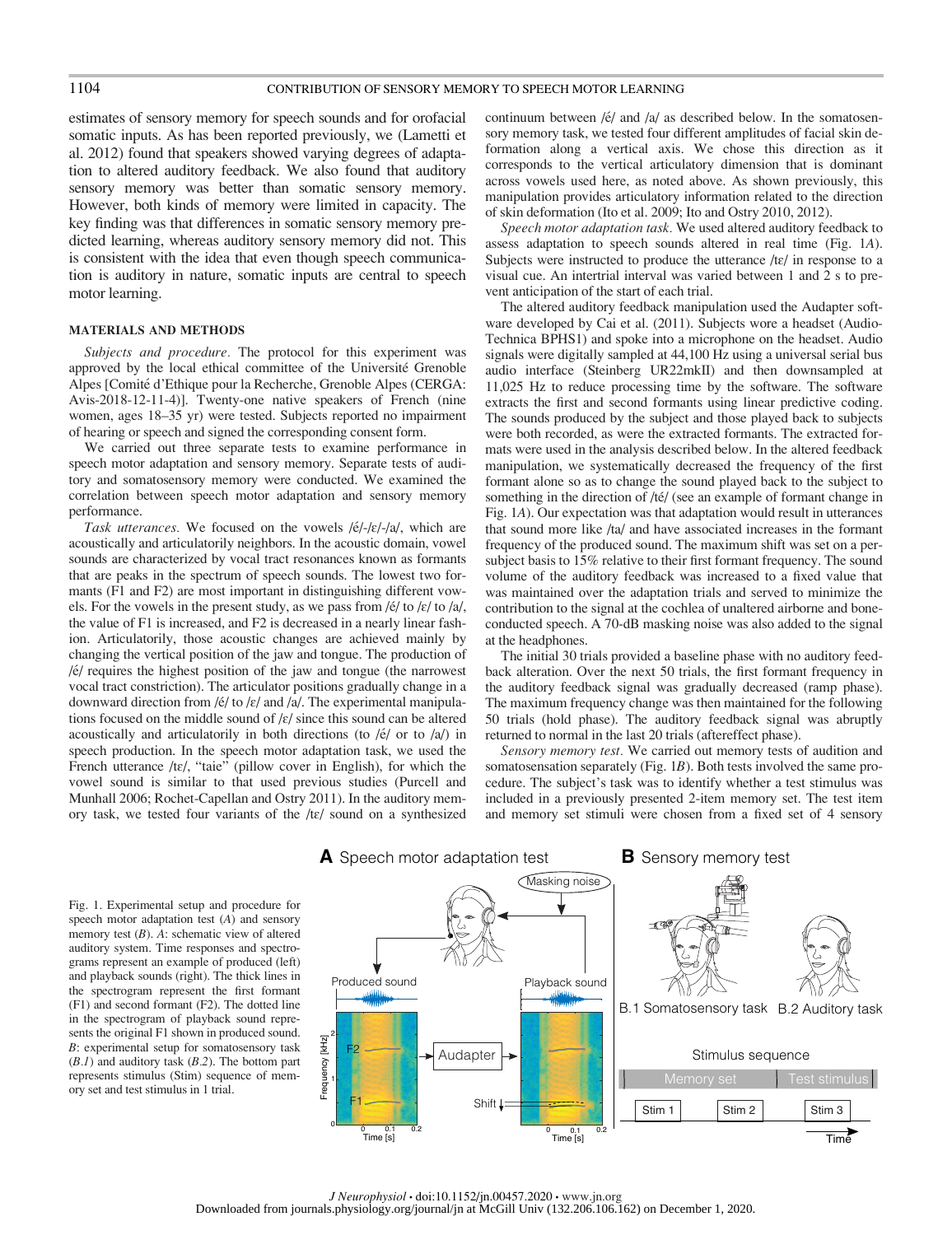estimates of sensory memory for speech sounds and for orofacial somatic inputs. As has been reported previously, we (Lametti et al. 2012) found that speakers showed varying degrees of adaptation to altered auditory feedback. We also found that auditory sensory memory was better than somatic sensory memory. However, both kinds of memory were limited in capacity. The key finding was that differences in somatic sensory memory predicted learning, whereas auditory sensory memory did not. This is consistent with the idea that even though speech communication is auditory in nature, somatic inputs are central to speech motor learning.

#### MATERIALS AND METHODS

Subjects and procedure. The protocol for this experiment was approved by the local ethical committee of the Université Grenoble Alpes [Comité d'Ethique pour la Recherche, Grenoble Alpes (CERGA: Avis-2018-12-11-4)]. Twenty-one native speakers of French (nine women, ages 18–35 yr) were tested. Subjects reported no impairment of hearing or speech and signed the corresponding consent form.

We carried out three separate tests to examine performance in speech motor adaptation and sensory memory. Separate tests of auditory and somatosensory memory were conducted. We examined the correlation between speech motor adaptation and sensory memory performance.

Task utterances. We focused on the vowels  $/|e\rangle - |e\rangle - |a\rangle$ , which are acoustically and articulatorily neighbors. In the acoustic domain, vowel sounds are characterized by vocal tract resonances known as formants that are peaks in the spectrum of speech sounds. The lowest two formants (F1 and F2) are most important in distinguishing different vowels. For the vowels in the present study, as we pass from  $/6/$  to  $/8/$  to  $/a/$ , the value of F1 is increased, and F2 is decreased in a nearly linear fashion. Articulatorily, those acoustic changes are achieved mainly by changing the vertical position of the jaw and tongue. The production of  $/$ é $/$  requires the highest position of the jaw and tongue (the narrowest vocal tract constriction). The articulator positions gradually change in a downward direction from / $\acute{e}$ / to / $\varepsilon$ / and /a/. The experimental manipulations focused on the middle sound of  $\frac{\epsilon}{s}$  since this sound can be altered acoustically and articulatorily in both directions (to  $/6/$  or to  $/a/$ ) in speech production. In the speech motor adaptation task, we used the French utterance /tɛ/, "taie" (pillow cover in English), for which the vowel sound is similar to that used previous studies (Purcell and Munhall 2006; Rochet-Capellan and Ostry 2011). In the auditory memory task, we tested four variants of the /tɛ/ sound on a synthesized continuum between / $\acute{e}$ / and /a/ as described below. In the somatosensory memory task, we tested four different amplitudes of facial skin deformation along a vertical axis. We chose this direction as it corresponds to the vertical articulatory dimension that is dominant across vowels used here, as noted above. As shown previously, this manipulation provides articulatory information related to the direction of skin deformation (Ito et al. 2009; Ito and Ostry 2010, 2012).

Speech motor adaptation task. We used altered auditory feedback to assess adaptation to speech sounds altered in real time (Fig. 1A). Subjects were instructed to produce the utterance  $\frac{1}{\epsilon}$  in response to a visual cue. An intertrial interval was varied between 1 and 2 s to prevent anticipation of the start of each trial.

The altered auditory feedback manipulation used the Audapter software developed by Cai et al. (2011). Subjects wore a headset (Audio-Technica BPHS1) and spoke into a microphone on the headset. Audio signals were digitally sampled at 44,100 Hz using a universal serial bus audio interface (Steinberg UR22mkII) and then downsampled at 11,025 Hz to reduce processing time by the software. The software extracts the first and second formants using linear predictive coding. The sounds produced by the subject and those played back to subjects were both recorded, as were the extracted formants. The extracted formats were used in the analysis described below. In the altered feedback manipulation, we systematically decreased the frequency of the first formant alone so as to change the sound played back to the subject to something in the direction of /té/ (see an example of formant change in Fig. 1A). Our expectation was that adaptation would result in utterances that sound more like /ta/ and have associated increases in the formant frequency of the produced sound. The maximum shift was set on a persubject basis to 15% relative to their first formant frequency. The sound volume of the auditory feedback was increased to a fixed value that was maintained over the adaptation trials and served to minimize the contribution to the signal at the cochlea of unaltered airborne and boneconducted speech. A 70-dB masking noise was also added to the signal at the headphones.

The initial 30 trials provided a baseline phase with no auditory feedback alteration. Over the next 50 trials, the first formant frequency in the auditory feedback signal was gradually decreased (ramp phase). The maximum frequency change was then maintained for the following 50 trials (hold phase). The auditory feedback signal was abruptly returned to normal in the last 20 trials (aftereffect phase).

Sensory memory test. We carried out memory tests of audition and somatosensation separately (Fig. 1B). Both tests involved the same procedure. The subject's task was to identify whether a test stimulus was included in a previously presented 2-item memory set. The test item and memory set stimuli were chosen from a fixed set of 4 sensory

Fig. 1. Experimental setup and procedure for speech motor adaptation test (A) and sensory memory test  $(B)$ . A: schematic view of altered auditory system. Time responses and spectrograms represent an example of produced (left) and playback sounds (right). The thick lines in the spectrogram represent the first formant (F1) and second formant (F2). The dotted line in the spectrogram of playback sound represents the original F1 shown in produced sound. B: experimental setup for somatosensory task  $(B.1)$  and auditory task  $(B.2)$ . The bottom part represents stimulus (Stim) sequence of memory set and test stimulus in 1 trial.

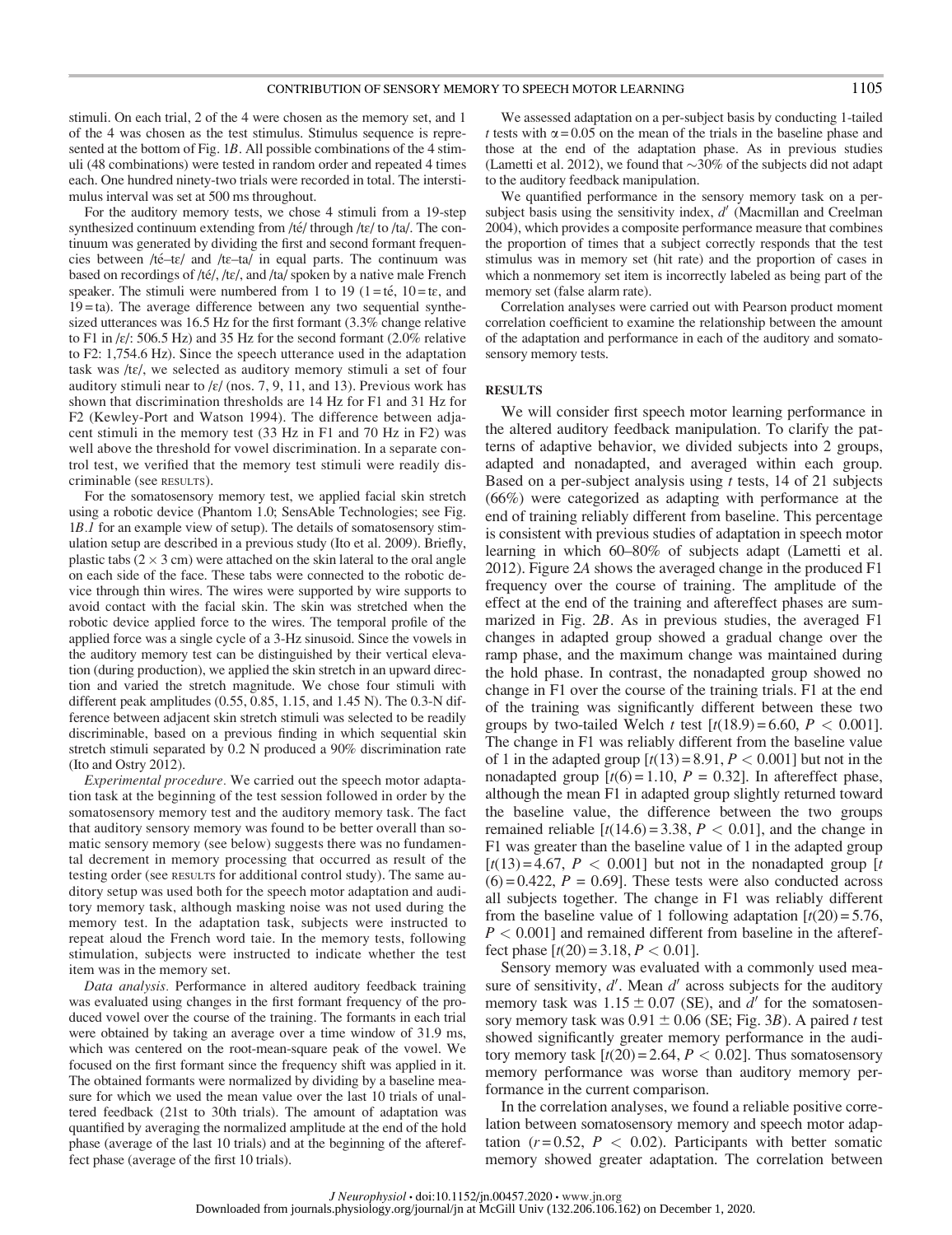stimuli. On each trial, 2 of the 4 were chosen as the memory set, and 1 of the 4 was chosen as the test stimulus. Stimulus sequence is represented at the bottom of Fig. 1B. All possible combinations of the 4 stimuli (48 combinations) were tested in random order and repeated 4 times each. One hundred ninety-two trials were recorded in total. The interstimulus interval was set at 500 ms throughout.

For the auditory memory tests, we chose 4 stimuli from a 19-step synthesized continuum extending from /té/ through /tɛ/ to /ta/. The continuum was generated by dividing the first and second formant frequencies between /té-tɛ/ and /tɛ-ta/ in equal parts. The continuum was based on recordings of /té/, /tɛ/, and /ta/ spoken by a native male French speaker. The stimuli were numbered from 1 to 19 (1 = té, 10 = t $\varepsilon$ , and  $19 = ta$ ). The average difference between any two sequential synthesized utterances was 16.5 Hz for the first formant (3.3% change relative to F1 in  $\frac{\varepsilon}{\varepsilon}$ : 506.5 Hz) and 35 Hz for the second formant (2.0% relative to F2: 1,754.6 Hz). Since the speech utterance used in the adaptation task was /tɛ/, we selected as auditory memory stimuli a set of four auditory stimuli near to / $\varepsilon$ / (nos. 7, 9, 11, and 13). Previous work has shown that discrimination thresholds are 14 Hz for F1 and 31 Hz for F2 (Kewley-Port and Watson 1994). The difference between adjacent stimuli in the memory test (33 Hz in F1 and 70 Hz in F2) was well above the threshold for vowel discrimination. In a separate control test, we verified that the memory test stimuli were readily discriminable (see RESULTS).

For the somatosensory memory test, we applied facial skin stretch using a robotic device (Phantom 1.0; SensAble Technologies; see Fig. 1B.1 for an example view of setup). The details of somatosensory stimulation setup are described in a previous study (Ito et al. 2009). Briefly, plastic tabs ( $2 \times 3$  cm) were attached on the skin lateral to the oral angle on each side of the face. These tabs were connected to the robotic device through thin wires. The wires were supported by wire supports to avoid contact with the facial skin. The skin was stretched when the robotic device applied force to the wires. The temporal profile of the applied force was a single cycle of a 3-Hz sinusoid. Since the vowels in the auditory memory test can be distinguished by their vertical elevation (during production), we applied the skin stretch in an upward direction and varied the stretch magnitude. We chose four stimuli with different peak amplitudes (0.55, 0.85, 1.15, and 1.45 N). The 0.3-N difference between adjacent skin stretch stimuli was selected to be readily discriminable, based on a previous finding in which sequential skin stretch stimuli separated by 0.2 N produced a 90% discrimination rate (Ito and Ostry 2012).

Experimental procedure. We carried out the speech motor adaptation task at the beginning of the test session followed in order by the somatosensory memory test and the auditory memory task. The fact that auditory sensory memory was found to be better overall than somatic sensory memory (see below) suggests there was no fundamental decrement in memory processing that occurred as result of the testing order (see RESULTS for additional control study). The same auditory setup was used both for the speech motor adaptation and auditory memory task, although masking noise was not used during the memory test. In the adaptation task, subjects were instructed to repeat aloud the French word taie. In the memory tests, following stimulation, subjects were instructed to indicate whether the test item was in the memory set.

Data analysis. Performance in altered auditory feedback training was evaluated using changes in the first formant frequency of the produced vowel over the course of the training. The formants in each trial were obtained by taking an average over a time window of 31.9 ms, which was centered on the root-mean-square peak of the vowel. We focused on the first formant since the frequency shift was applied in it. The obtained formants were normalized by dividing by a baseline measure for which we used the mean value over the last 10 trials of unaltered feedback (21st to 30th trials). The amount of adaptation was quantified by averaging the normalized amplitude at the end of the hold phase (average of the last 10 trials) and at the beginning of the aftereffect phase (average of the first 10 trials).

We assessed adaptation on a per-subject basis by conducting 1-tailed t tests with  $\alpha$  = 0.05 on the mean of the trials in the baseline phase and those at the end of the adaptation phase. As in previous studies (Lametti et al. 2012), we found that  $\sim 30\%$  of the subjects did not adapt to the auditory feedback manipulation.

We quantified performance in the sensory memory task on a persubject basis using the sensitivity index,  $d'$  (Macmillan and Creelman 2004), which provides a composite performance measure that combines the proportion of times that a subject correctly responds that the test stimulus was in memory set (hit rate) and the proportion of cases in which a nonmemory set item is incorrectly labeled as being part of the memory set (false alarm rate).

Correlation analyses were carried out with Pearson product moment correlation coefficient to examine the relationship between the amount of the adaptation and performance in each of the auditory and somatosensory memory tests.

#### RESULTS

We will consider first speech motor learning performance in the altered auditory feedback manipulation. To clarify the patterns of adaptive behavior, we divided subjects into 2 groups, adapted and nonadapted, and averaged within each group. Based on a per-subject analysis using  $t$  tests, 14 of 21 subjects (66%) were categorized as adapting with performance at the end of training reliably different from baseline. This percentage is consistent with previous studies of adaptation in speech motor learning in which 60–80% of subjects adapt (Lametti et al. 2012). Figure 2A shows the averaged change in the produced F1 frequency over the course of training. The amplitude of the effect at the end of the training and aftereffect phases are summarized in Fig. 2B. As in previous studies, the averaged F1 changes in adapted group showed a gradual change over the ramp phase, and the maximum change was maintained during the hold phase. In contrast, the nonadapted group showed no change in F1 over the course of the training trials. F1 at the end of the training was significantly different between these two groups by two-tailed Welch t test  $[t(18.9) = 6.60, P < 0.001]$ . The change in F1 was reliably different from the baseline value of 1 in the adapted group  $[t(13) = 8.91, P < 0.001]$  but not in the nonadapted group  $[t(6) = 1.10, P = 0.32]$ . In aftereffect phase, although the mean F1 in adapted group slightly returned toward the baseline value, the difference between the two groups remained reliable  $[t(14.6) = 3.38, P < 0.01]$ , and the change in F1 was greater than the baseline value of 1 in the adapted group  $[t(13) = 4.67, P < 0.001]$  but not in the nonadapted group [t]  $(6) = 0.422$ ,  $P = 0.69$ . These tests were also conducted across all subjects together. The change in F1 was reliably different from the baseline value of 1 following adaptation  $[t(20) = 5.76,$  $P < 0.001$ ] and remained different from baseline in the aftereffect phase  $[t(20) = 3.18, P < 0.01]$ .

Sensory memory was evaluated with a commonly used measure of sensitivity,  $d'$ . Mean  $d'$  across subjects for the auditory memory task was  $1.15 \pm 0.07$  (SE), and d' for the somatosensory memory task was  $0.91 \pm 0.06$  (SE; Fig. 3B). A paired t test showed significantly greater memory performance in the auditory memory task  $[t(20) = 2.64, P < 0.02]$ . Thus somatosensory memory performance was worse than auditory memory performance in the current comparison.

In the correlation analyses, we found a reliable positive correlation between somatosensory memory and speech motor adaptation ( $r = 0.52$ ,  $P < 0.02$ ). Participants with better somatic memory showed greater adaptation. The correlation between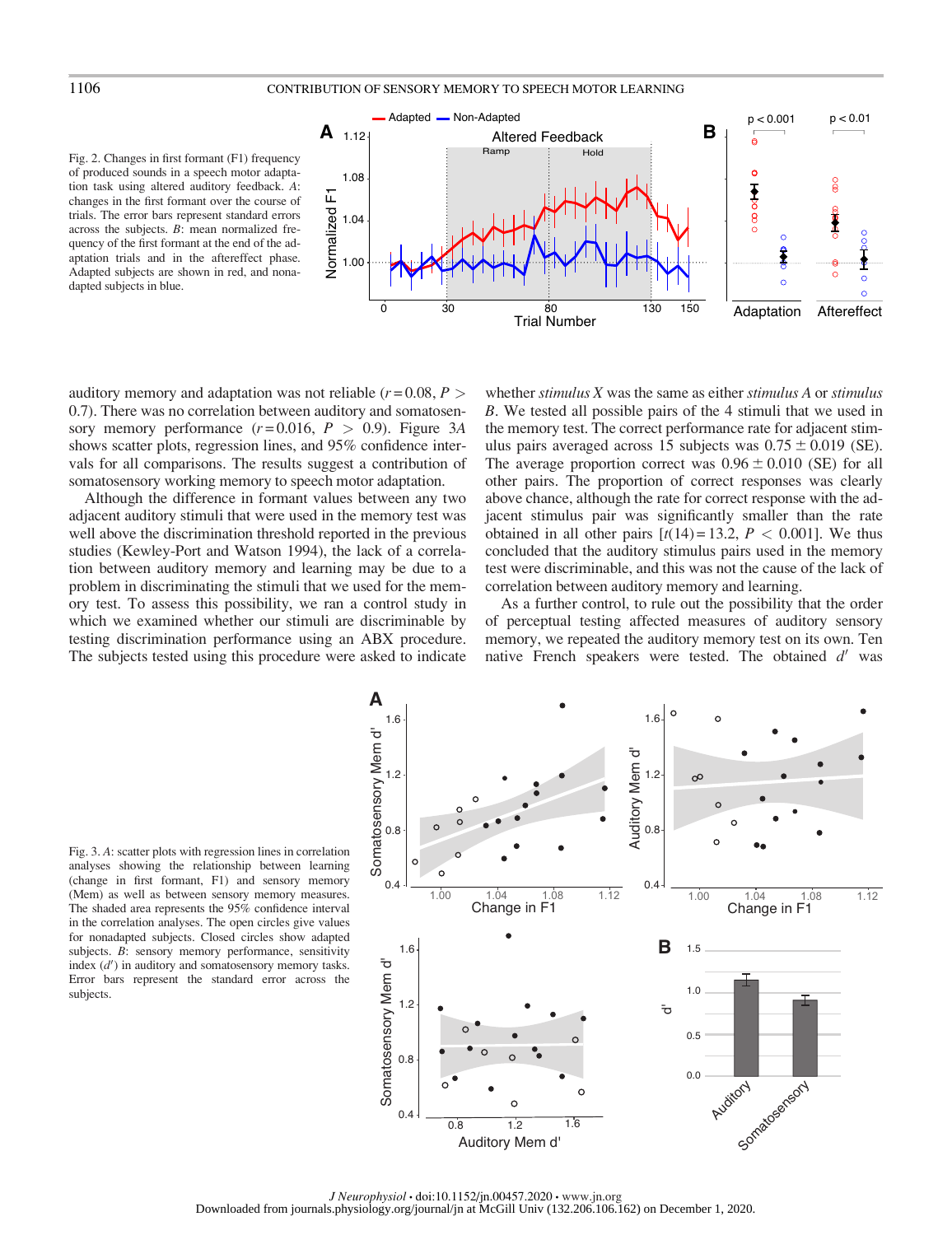Fig. 2. Changes in first formant (F1) frequency of produced sounds in a speech motor adaptation task using altered auditory feedback. A: changes in the first formant over the course of trials. The error bars represent standard errors across the subjects. B: mean normalized frequency of the first formant at the end of the adaptation trials and in the aftereffect phase. Adapted subjects are shown in red, and nonadapted subjects in blue.



auditory memory and adaptation was not reliable ( $r = 0.08, P >$ 0.7). There was no correlation between auditory and somatosensory memory performance  $(r=0.016, P > 0.9)$ . Figure 3A shows scatter plots, regression lines, and 95% confidence intervals for all comparisons. The results suggest a contribution of somatosensory working memory to speech motor adaptation.

Although the difference in formant values between any two adjacent auditory stimuli that were used in the memory test was well above the discrimination threshold reported in the previous studies (Kewley-Port and Watson 1994), the lack of a correlation between auditory memory and learning may be due to a problem in discriminating the stimuli that we used for the memory test. To assess this possibility, we ran a control study in which we examined whether our stimuli are discriminable by testing discrimination performance using an ABX procedure. The subjects tested using this procedure were asked to indicate

whether stimulus  $X$  was the same as either stimulus  $A$  or stimulus B. We tested all possible pairs of the 4 stimuli that we used in the memory test. The correct performance rate for adjacent stimulus pairs averaged across 15 subjects was  $0.75 \pm 0.019$  (SE). The average proportion correct was  $0.96 \pm 0.010$  (SE) for all other pairs. The proportion of correct responses was clearly above chance, although the rate for correct response with the adjacent stimulus pair was significantly smaller than the rate obtained in all other pairs  $[t(14) = 13.2, P < 0.001]$ . We thus concluded that the auditory stimulus pairs used in the memory test were discriminable, and this was not the cause of the lack of correlation between auditory memory and learning.

As a further control, to rule out the possibility that the order of perceptual testing affected measures of auditory sensory memory, we repeated the auditory memory test on its own. Ten native French speakers were tested. The obtained  $d'$  was

Fig. 3. A: scatter plots with regression lines in correlation analyses showing the relationship between learning (change in first formant, F1) and sensory memory (Mem) as well as between sensory memory measures. The shaded area represents the 95% confidence interval in the correlation analyses. The open circles give values for nonadapted subjects. Closed circles show adapted subjects. B: sensory memory performance, sensitivity index  $(d')$  in auditory and somatosensory memory tasks. Error bars represent the standard error across the subjects.

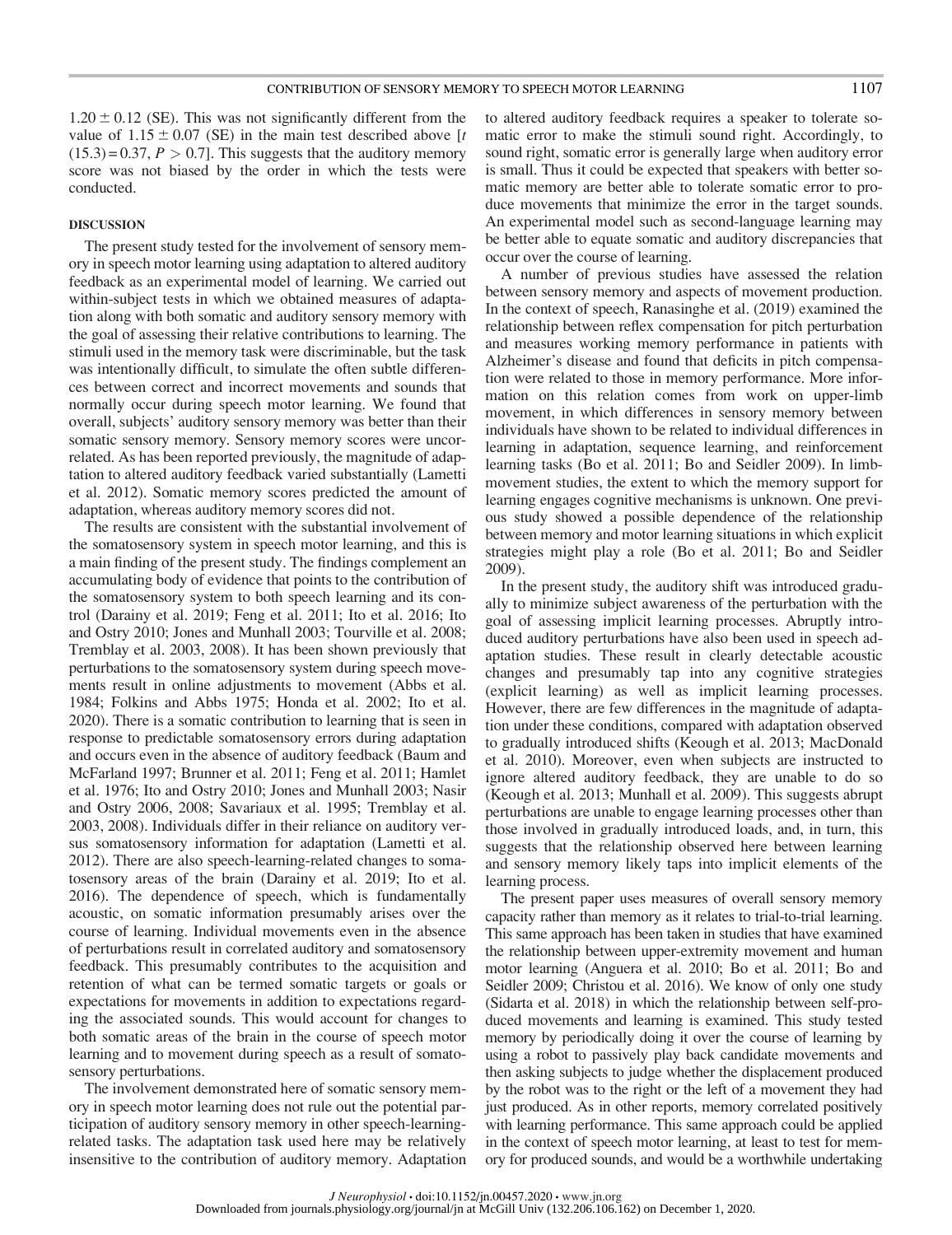$1.20 \pm 0.12$  (SE). This was not significantly different from the value of  $1.15 \pm 0.07$  (SE) in the main test described above [t]  $(15.3) = 0.37, P > 0.7$ . This suggests that the auditory memory score was not biased by the order in which the tests were conducted.

#### DISCUSSION

The present study tested for the involvement of sensory memory in speech motor learning using adaptation to altered auditory feedback as an experimental model of learning. We carried out within-subject tests in which we obtained measures of adaptation along with both somatic and auditory sensory memory with the goal of assessing their relative contributions to learning. The stimuli used in the memory task were discriminable, but the task was intentionally difficult, to simulate the often subtle differences between correct and incorrect movements and sounds that normally occur during speech motor learning. We found that overall, subjects' auditory sensory memory was better than their somatic sensory memory. Sensory memory scores were uncorrelated. As has been reported previously, the magnitude of adaptation to altered auditory feedback varied substantially (Lametti et al. 2012). Somatic memory scores predicted the amount of adaptation, whereas auditory memory scores did not.

The results are consistent with the substantial involvement of the somatosensory system in speech motor learning, and this is a main finding of the present study. The findings complement an accumulating body of evidence that points to the contribution of the somatosensory system to both speech learning and its control (Darainy et al. 2019; Feng et al. 2011; Ito et al. 2016; Ito and Ostry 2010; Jones and Munhall 2003; Tourville et al. 2008; Tremblay et al. 2003, 2008). It has been shown previously that perturbations to the somatosensory system during speech movements result in online adjustments to movement (Abbs et al. 1984; Folkins and Abbs 1975; Honda et al. 2002; Ito et al. 2020). There is a somatic contribution to learning that is seen in response to predictable somatosensory errors during adaptation and occurs even in the absence of auditory feedback (Baum and McFarland 1997; Brunner et al. 2011; Feng et al. 2011; Hamlet et al. 1976; Ito and Ostry 2010; Jones and Munhall 2003; Nasir and Ostry 2006, 2008; Savariaux et al. 1995; Tremblay et al. 2003, 2008). Individuals differ in their reliance on auditory versus somatosensory information for adaptation (Lametti et al. 2012). There are also speech-learning-related changes to somatosensory areas of the brain (Darainy et al. 2019; Ito et al. 2016). The dependence of speech, which is fundamentally acoustic, on somatic information presumably arises over the course of learning. Individual movements even in the absence of perturbations result in correlated auditory and somatosensory feedback. This presumably contributes to the acquisition and retention of what can be termed somatic targets or goals or expectations for movements in addition to expectations regarding the associated sounds. This would account for changes to both somatic areas of the brain in the course of speech motor learning and to movement during speech as a result of somatosensory perturbations.

The involvement demonstrated here of somatic sensory memory in speech motor learning does not rule out the potential participation of auditory sensory memory in other speech-learningrelated tasks. The adaptation task used here may be relatively insensitive to the contribution of auditory memory. Adaptation to altered auditory feedback requires a speaker to tolerate somatic error to make the stimuli sound right. Accordingly, to sound right, somatic error is generally large when auditory error is small. Thus it could be expected that speakers with better somatic memory are better able to tolerate somatic error to produce movements that minimize the error in the target sounds. An experimental model such as second-language learning may be better able to equate somatic and auditory discrepancies that occur over the course of learning.

A number of previous studies have assessed the relation between sensory memory and aspects of movement production. In the context of speech, Ranasinghe et al. (2019) examined the relationship between reflex compensation for pitch perturbation and measures working memory performance in patients with Alzheimer's disease and found that deficits in pitch compensation were related to those in memory performance. More information on this relation comes from work on upper-limb movement, in which differences in sensory memory between individuals have shown to be related to individual differences in learning in adaptation, sequence learning, and reinforcement learning tasks (Bo et al. 2011; Bo and Seidler 2009). In limbmovement studies, the extent to which the memory support for learning engages cognitive mechanisms is unknown. One previous study showed a possible dependence of the relationship between memory and motor learning situations in which explicit strategies might play a role (Bo et al. 2011; Bo and Seidler 2009).

In the present study, the auditory shift was introduced gradually to minimize subject awareness of the perturbation with the goal of assessing implicit learning processes. Abruptly introduced auditory perturbations have also been used in speech adaptation studies. These result in clearly detectable acoustic changes and presumably tap into any cognitive strategies (explicit learning) as well as implicit learning processes. However, there are few differences in the magnitude of adaptation under these conditions, compared with adaptation observed to gradually introduced shifts (Keough et al. 2013; MacDonald et al. 2010). Moreover, even when subjects are instructed to ignore altered auditory feedback, they are unable to do so (Keough et al. 2013; Munhall et al. 2009). This suggests abrupt perturbations are unable to engage learning processes other than those involved in gradually introduced loads, and, in turn, this suggests that the relationship observed here between learning and sensory memory likely taps into implicit elements of the learning process.

The present paper uses measures of overall sensory memory capacity rather than memory as it relates to trial-to-trial learning. This same approach has been taken in studies that have examined the relationship between upper-extremity movement and human motor learning (Anguera et al. 2010; Bo et al. 2011; Bo and Seidler 2009; Christou et al. 2016). We know of only one study (Sidarta et al. 2018) in which the relationship between self-produced movements and learning is examined. This study tested memory by periodically doing it over the course of learning by using a robot to passively play back candidate movements and then asking subjects to judge whether the displacement produced by the robot was to the right or the left of a movement they had just produced. As in other reports, memory correlated positively with learning performance. This same approach could be applied in the context of speech motor learning, at least to test for memory for produced sounds, and would be a worthwhile undertaking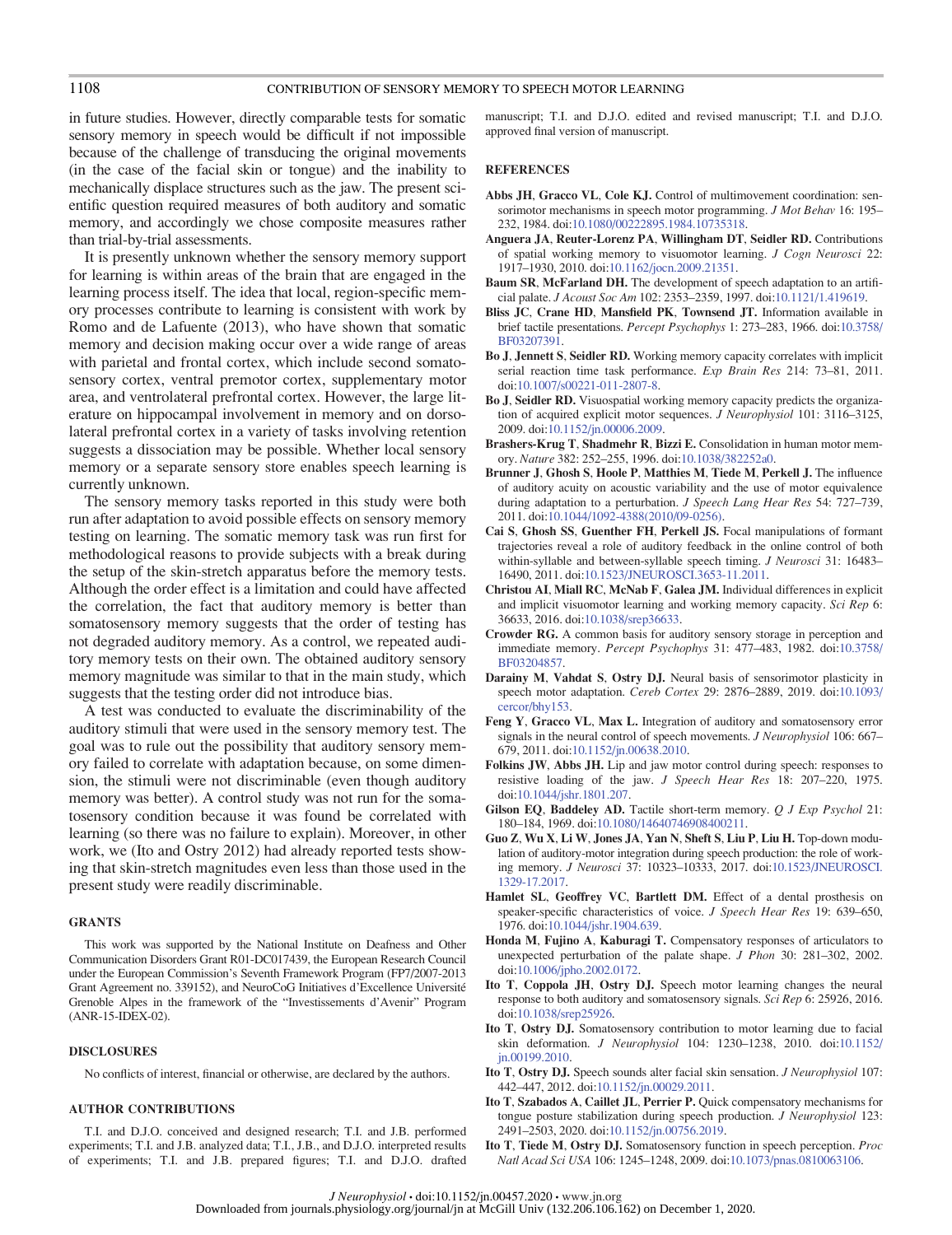## 1108 CONTRIBUTION OF SENSORY MEMORY TO SPEECH MOTOR LEARNING

in future studies. However, directly comparable tests for somatic sensory memory in speech would be difficult if not impossible because of the challenge of transducing the original movements (in the case of the facial skin or tongue) and the inability to mechanically displace structures such as the jaw. The present scientific question required measures of both auditory and somatic memory, and accordingly we chose composite measures rather than trial-by-trial assessments.

It is presently unknown whether the sensory memory support for learning is within areas of the brain that are engaged in the learning process itself. The idea that local, region-specific memory processes contribute to learning is consistent with work by Romo and de Lafuente (2013), who have shown that somatic memory and decision making occur over a wide range of areas with parietal and frontal cortex, which include second somatosensory cortex, ventral premotor cortex, supplementary motor area, and ventrolateral prefrontal cortex. However, the large literature on hippocampal involvement in memory and on dorsolateral prefrontal cortex in a variety of tasks involving retention suggests a dissociation may be possible. Whether local sensory memory or a separate sensory store enables speech learning is currently unknown.

The sensory memory tasks reported in this study were both run after adaptation to avoid possible effects on sensory memory testing on learning. The somatic memory task was run first for methodological reasons to provide subjects with a break during the setup of the skin-stretch apparatus before the memory tests. Although the order effect is a limitation and could have affected the correlation, the fact that auditory memory is better than somatosensory memory suggests that the order of testing has not degraded auditory memory. As a control, we repeated auditory memory tests on their own. The obtained auditory sensory memory magnitude was similar to that in the main study, which suggests that the testing order did not introduce bias.

A test was conducted to evaluate the discriminability of the auditory stimuli that were used in the sensory memory test. The goal was to rule out the possibility that auditory sensory memory failed to correlate with adaptation because, on some dimension, the stimuli were not discriminable (even though auditory memory was better). A control study was not run for the somatosensory condition because it was found be correlated with learning (so there was no failure to explain). Moreover, in other work, we (Ito and Ostry 2012) had already reported tests showing that skin-stretch magnitudes even less than those used in the present study were readily discriminable.

#### GRANTS

This work was supported by the National Institute on Deafness and Other Communication Disorders Grant R01-DC017439, the European Research Council under the European Commission's Seventh Framework Program (FP7/2007-2013 Grant Agreement no. 339152), and NeuroCoG Initiatives d'Excellence Universite´ Grenoble Alpes in the framework of the "Investissements d'Avenir" Program (ANR-15-IDEX-02).

### DISCLOSURES

No conflicts of interest, financial or otherwise, are declared by the authors.

#### AUTHOR CONTRIBUTIONS

T.I. and D.J.O. conceived and designed research; T.I. and J.B. performed experiments; T.I. and J.B. analyzed data; T.I., J.B., and D.J.O. interpreted results of experiments; T.I. and J.B. prepared figures; T.I. and D.J.O. drafted manuscript; T.I. and D.J.O. edited and revised manuscript; T.I. and D.J.O. approved final version of manuscript.

#### **REFERENCES**

- Abbs JH, Gracco VL, Cole KJ. Control of multimovement coordination: sensorimotor mechanisms in speech motor programming. *J Mot Behav* 16: 195– 232, 1984. doi:[10.1080/00222895.1984.10735318](https://doi.org/10.1080/00222895.1984.10735318).
- Anguera JA, Reuter-Lorenz PA, Willingham DT, Seidler RD. Contributions of spatial working memory to visuomotor learning. J Cogn Neurosci 22: 1917–1930, 2010. doi[:10.1162/jocn.2009.21351](https://doi.org/10.1162/jocn.2009.21351).
- Baum SR, McFarland DH. The development of speech adaptation to an artificial palate. J Acoust Soc Am 102: 2353–2359, 1997. doi[:10.1121/1.419619](https://doi.org/10.1121/1.419619).
- Bliss JC, Crane HD, Mansfield PK, Townsend JT. Information available in brief tactile presentations. Percept Psychophys 1: 273–283, 1966. doi:[10.3758/](https://doi.org/10.3758/BF03207391) [BF03207391.](https://doi.org/10.3758/BF03207391)
- Bo J, Jennett S, Seidler RD. Working memory capacity correlates with implicit serial reaction time task performance. Exp Brain Res 214: 73-81, 2011. doi:[10.1007/s00221-011-2807-8.](https://doi.org/10.1007/s00221-011-2807-8)
- Bo J, Seidler RD. Visuospatial working memory capacity predicts the organization of acquired explicit motor sequences. J Neurophysiol 101: 3116-3125, 2009. doi[:10.1152/jn.00006.2009.](https://doi.org/10.1152/jn.00006.2009)
- Brashers-Krug T, Shadmehr R, Bizzi E. Consolidation in human motor memory. Nature 382: 252–255, 1996. doi:[10.1038/382252a0](https://doi.org/10.1038/382252a0).
- Brunner J, Ghosh S, Hoole P, Matthies M, Tiede M, Perkell J. The influence of auditory acuity on acoustic variability and the use of motor equivalence during adaptation to a perturbation. *J Speech Lang Hear Res* 54: 727–739, 2011. doi[:10.1044/1092-4388\(2010/09-0256\).](https://doi.org/10.1044/1092-4388(2010/09-0256))
- Cai S, Ghosh SS, Guenther FH, Perkell JS. Focal manipulations of formant trajectories reveal a role of auditory feedback in the online control of both within-syllable and between-syllable speech timing. J Neurosci 31: 16483-16490, 2011. doi[:10.1523/JNEUROSCI.3653-11.2011.](https://doi.org/10.1523/JNEUROSCI.3653-11.2011)
- Christou AI, Miall RC, McNab F, Galea JM. Individual differences in explicit and implicit visuomotor learning and working memory capacity. Sci Rep 6: 36633, 2016. doi[:10.1038/srep36633.](https://doi.org/10.1038/srep36633)
- Crowder RG. A common basis for auditory sensory storage in perception and immediate memory. Percept Psychophys 31: 477–483, 1982. doi[:10.3758/](https://doi.org/10.3758/BF03204857) [BF03204857](https://doi.org/10.3758/BF03204857).
- Darainy M, Vahdat S, Ostry DJ. Neural basis of sensorimotor plasticity in speech motor adaptation. Cereb Cortex 29: 2876–2889, 2019. doi[:10.1093/](https://doi.org/10.1093/cercor/bhy153) [cercor/bhy153.](https://doi.org/10.1093/cercor/bhy153)
- Feng Y, Gracco VL, Max L. Integration of auditory and somatosensory error signals in the neural control of speech movements. J Neurophysiol 106: 667-679, 2011. doi:[10.1152/jn.00638.2010](https://doi.org/10.1152/jn.00638.2010).
- Folkins JW, Abbs JH. Lip and jaw motor control during speech: responses to resistive loading of the jaw. J Speech Hear Res 18: 207-220, 1975. doi:[10.1044/jshr.1801.207](https://doi.org/10.1044/jshr.1801.207).
- Gilson EQ, Baddeley AD. Tactile short-term memory. Q J Exp Psychol 21: 180–184, 1969. doi[:10.1080/14640746908400211](https://doi.org/10.1080/14640746908400211).
- Guo Z, Wu X, Li W, Jones JA, Yan N, Sheft S, Liu P, Liu H. Top-down modulation of auditory-motor integration during speech production: the role of working memory. J Neurosci 37: 10323–10333, 2017. doi[:10.1523/JNEUROSCI.](https://doi.org/10.1523/JNEUROSCI.1329-17.2017) [1329-17.2017](https://doi.org/10.1523/JNEUROSCI.1329-17.2017).
- Hamlet SL, Geoffrey VC, Bartlett DM. Effect of a dental prosthesis on speaker-specific characteristics of voice. J Speech Hear Res 19: 639-650, 1976. doi[:10.1044/jshr.1904.639.](https://doi.org/10.1044/jshr.1904.639)
- Honda M, Fujino A, Kaburagi T. Compensatory responses of articulators to unexpected perturbation of the palate shape. J Phon 30: 281–302, 2002. doi:[10.1006/jpho.2002.0172](https://doi.org/10.1006/jpho.2002.0172).
- Ito T, Coppola JH, Ostry DJ. Speech motor learning changes the neural response to both auditory and somatosensory signals. Sci Rep 6: 25926, 2016. doi:[10.1038/srep25926.](https://doi.org/10.1038/srep25926)
- Ito T, Ostry DJ. Somatosensory contribution to motor learning due to facial skin deformation. J Neurophysiol 104: 1230–1238, 2010. doi[:10.1152/](https://doi.org/10.1152/jn.00199.2010) [jn.00199.2010.](https://doi.org/10.1152/jn.00199.2010)
- Ito T, Ostry DJ. Speech sounds alter facial skin sensation. J Neurophysiol 107: 442–447, 2012. doi[:10.1152/jn.00029.2011.](https://doi.org/10.1152/jn.00029.2011)
- Ito T, Szabados A, Caillet JL, Perrier P. Quick compensatory mechanisms for tongue posture stabilization during speech production. J Neurophysiol 123: 2491–2503, 2020. doi[:10.1152/jn.00756.2019.](https://doi.org/10.1152/jn.00756.2019)
- Ito T, Tiede M, Ostry DJ. Somatosensory function in speech perception. Proc Natl Acad Sci USA 106: 1245–1248, 2009. doi:[10.1073/pnas.0810063106.](https://doi.org/10.1073/pnas.0810063106)